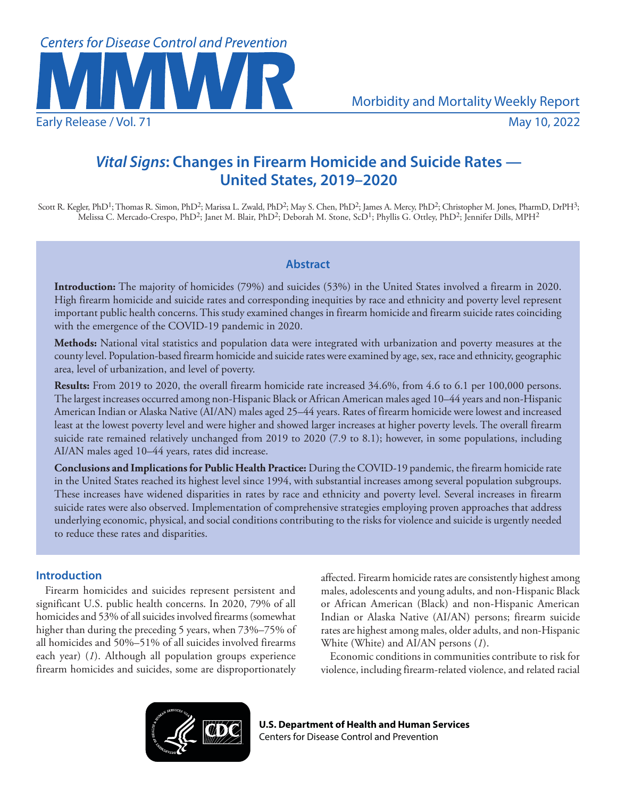

# *Vital Signs***: Changes in Firearm Homicide and Suicide Rates — United States, 2019–2020**

Scott R. Kegler, PhD<sup>1</sup>; Thomas R. Simon, PhD<sup>2</sup>; Marissa L. Zwald, PhD<sup>2</sup>; May S. Chen, PhD<sup>2</sup>; James A. Mercy, PhD<sup>2</sup>; Christopher M. Jones, PharmD, DrPH<sup>3</sup>;  $\rm Melissa$  C. Mercado-Crespo, PhD $^2$ ; Janet M. Blair, PhD $^2$ ; Deborah M. Stone, ScD $^1$ ; Phyllis G. Ottley, PhD $^2$ ; Jennifer Dills, MPH $^2$ 

# **Abstract**

**Introduction:** The majority of homicides (79%) and suicides (53%) in the United States involved a firearm in 2020. High firearm homicide and suicide rates and corresponding inequities by race and ethnicity and poverty level represent important public health concerns. This study examined changes in firearm homicide and firearm suicide rates coinciding with the emergence of the COVID-19 pandemic in 2020.

**Methods:** National vital statistics and population data were integrated with urbanization and poverty measures at the county level. Population-based firearm homicide and suicide rates were examined by age, sex, race and ethnicity, geographic area, level of urbanization, and level of poverty.

**Results:** From 2019 to 2020, the overall firearm homicide rate increased 34.6%, from 4.6 to 6.1 per 100,000 persons. The largest increases occurred among non-Hispanic Black or African American males aged 10–44 years and non-Hispanic American Indian or Alaska Native (AI/AN) males aged 25–44 years. Rates of firearm homicide were lowest and increased least at the lowest poverty level and were higher and showed larger increases at higher poverty levels. The overall firearm suicide rate remained relatively unchanged from 2019 to 2020 (7.9 to 8.1); however, in some populations, including AI/AN males aged 10–44 years, rates did increase.

**Conclusions and Implications for Public Health Practice:** During the COVID-19 pandemic, the firearm homicide rate in the United States reached its highest level since 1994, with substantial increases among several population subgroups. These increases have widened disparities in rates by race and ethnicity and poverty level. Several increases in firearm suicide rates were also observed. Implementation of comprehensive strategies employing proven approaches that address underlying economic, physical, and social conditions contributing to the risks for violence and suicide is urgently needed to reduce these rates and disparities.

# **Introduction**

Firearm homicides and suicides represent persistent and significant U.S. public health concerns. In 2020, 79% of all homicides and 53% of all suicides involved firearms (somewhat higher than during the preceding 5 years, when 73%–75% of all homicides and 50%–51% of all suicides involved firearms each year) (*1*). Although all population groups experience firearm homicides and suicides, some are disproportionately affected. Firearm homicide rates are consistently highest among males, adolescents and young adults, and non-Hispanic Black or African American (Black) and non-Hispanic American Indian or Alaska Native (AI/AN) persons; firearm suicide rates are highest among males, older adults, and non-Hispanic White (White) and AI/AN persons (*1*).

Economic conditions in communities contribute to risk for violence, including firearm-related violence, and related racial



**U.S. Department of Health and Human Services** Centers for Disease Control and Prevention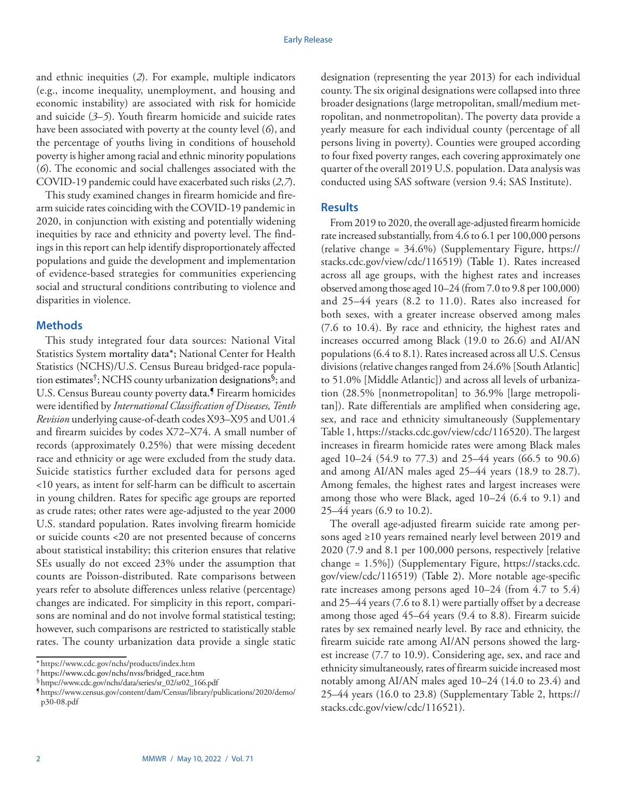and ethnic inequities (*2*). For example, multiple indicators (e.g., income inequality, unemployment, and housing and economic instability) are associated with risk for homicide and suicide (*3*–*5*). Youth firearm homicide and suicide rates have been associated with poverty at the county level (*6*), and the percentage of youths living in conditions of household poverty is higher among racial and ethnic minority populations (*6*). The economic and social challenges associated with the COVID-19 pandemic could have exacerbated such risks (*2*,*7*).

This study examined changes in firearm homicide and firearm suicide rates coinciding with the COVID-19 pandemic in 2020, in conjunction with existing and potentially widening inequities by race and ethnicity and poverty level. The findings in this report can help identify disproportionately affected populations and guide the development and implementation of evidence-based strategies for communities experiencing social and structural conditions contributing to violence and disparities in violence.

### **Methods**

This study integrated four data sources: National Vital Statistics System mortality data\*; National Center for Health Statistics (NCHS)/U.S. Census Bureau bridged-race population estimates†; NCHS county urbanization designations§; and U.S. Census Bureau county poverty data.<sup>*S*</sup> Firearm homicides were identified by *International Classification of Diseases, Tenth Revision* underlying cause-of-death codes X93–X95 and U01.4 and firearm suicides by codes X72–X74. A small number of records (approximately 0.25%) that were missing decedent race and ethnicity or age were excluded from the study data. Suicide statistics further excluded data for persons aged <10 years, as intent for self-harm can be difficult to ascertain in young children. Rates for specific age groups are reported as crude rates; other rates were age-adjusted to the year 2000 U.S. standard population. Rates involving firearm homicide or suicide counts <20 are not presented because of concerns about statistical instability; this criterion ensures that relative SEs usually do not exceed 23% under the assumption that counts are Poisson-distributed. Rate comparisons between years refer to absolute differences unless relative (percentage) changes are indicated. For simplicity in this report, comparisons are nominal and do not involve formal statistical testing; however, such comparisons are restricted to statistically stable rates. The county urbanization data provide a single static

designation (representing the year 2013) for each individual county. The six original designations were collapsed into three broader designations (large metropolitan, small/medium metropolitan, and nonmetropolitan). The poverty data provide a yearly measure for each individual county (percentage of all persons living in poverty). Counties were grouped according to four fixed poverty ranges, each covering approximately one quarter of the overall 2019 U.S. population. Data analysis was conducted using SAS software (version 9.4; SAS Institute).

### **Results**

From 2019 to 2020, the overall age-adjusted firearm homicide rate increased substantially, from 4.6 to 6.1 per 100,000 persons (relative change = 34.6%) (Supplementary Figure, [https://](https://stacks.cdc.gov/view/cdc/116519) [stacks.cdc.gov/view/cdc/116519\)](https://stacks.cdc.gov/view/cdc/116519) (Table 1). Rates increased across all age groups, with the highest rates and increases observed among those aged 10–24 (from 7.0 to 9.8 per 100,000) and 25–44 years (8.2 to 11.0). Rates also increased for both sexes, with a greater increase observed among males (7.6 to 10.4). By race and ethnicity, the highest rates and increases occurred among Black (19.0 to 26.6) and AI/AN populations (6.4 to 8.1). Rates increased across all U.S. Census divisions (relative changes ranged from 24.6% [South Atlantic] to 51.0% [Middle Atlantic]) and across all levels of urbanization (28.5% [nonmetropolitan] to 36.9% [large metropolitan]). Rate differentials are amplified when considering age, sex, and race and ethnicity simultaneously (Supplementary Table 1, [https://stacks.cdc.gov/view/cdc/116520\)](https://stacks.cdc.gov/view/cdc/116520). The largest increases in firearm homicide rates were among Black males aged 10–24 (54.9 to 77.3) and 25–44 years (66.5 to 90.6) and among AI/AN males aged 25–44 years (18.9 to 28.7). Among females, the highest rates and largest increases were among those who were Black, aged 10–24 (6.4 to 9.1) and 25–44 years (6.9 to 10.2).

The overall age-adjusted firearm suicide rate among persons aged ≥10 years remained nearly level between 2019 and 2020 (7.9 and 8.1 per 100,000 persons, respectively [relative change = 1.5%]) (Supplementary Figure, [https://stacks.cdc.](https://stacks.cdc.gov/view/cdc/116519) [gov/view/cdc/116519\)](https://stacks.cdc.gov/view/cdc/116519) (Table 2). More notable age-specific rate increases among persons aged 10–24 (from 4.7 to 5.4) and 25–44 years (7.6 to 8.1) were partially offset by a decrease among those aged 45–64 years (9.4 to 8.8). Firearm suicide rates by sex remained nearly level. By race and ethnicity, the firearm suicide rate among AI/AN persons showed the largest increase (7.7 to 10.9). Considering age, sex, and race and ethnicity simultaneously, rates of firearm suicide increased most notably among AI/AN males aged 10–24 (14.0 to 23.4) and 25–44 years (16.0 to 23.8) (Supplementary Table 2, [https://](https://stacks.cdc.gov/view/cdc/116521) [stacks.cdc.gov/view/cdc/116521](https://stacks.cdc.gov/view/cdc/116521)).

<sup>\*</sup> <https://www.cdc.gov/nchs/products/index.htm>

<sup>†</sup> [https://www.cdc.gov/nchs/nvss/bridged\\_race.htm](https://www.cdc.gov/nchs/nvss/bridged_race.htm)

<sup>§</sup>[https://www.cdc.gov/nchs/data/series/sr\\_02/sr02\\_166.pdf](https://www.cdc.gov/nchs/data/series/sr_02/sr02_166.pdf)

<sup>¶</sup> [https://www.census.gov/content/dam/Census/library/publications/2020/demo/](https://www.census.gov/content/dam/Census/library/publications/2020/demo/p30-08.pdf) [p30-08.pdf](https://www.census.gov/content/dam/Census/library/publications/2020/demo/p30-08.pdf)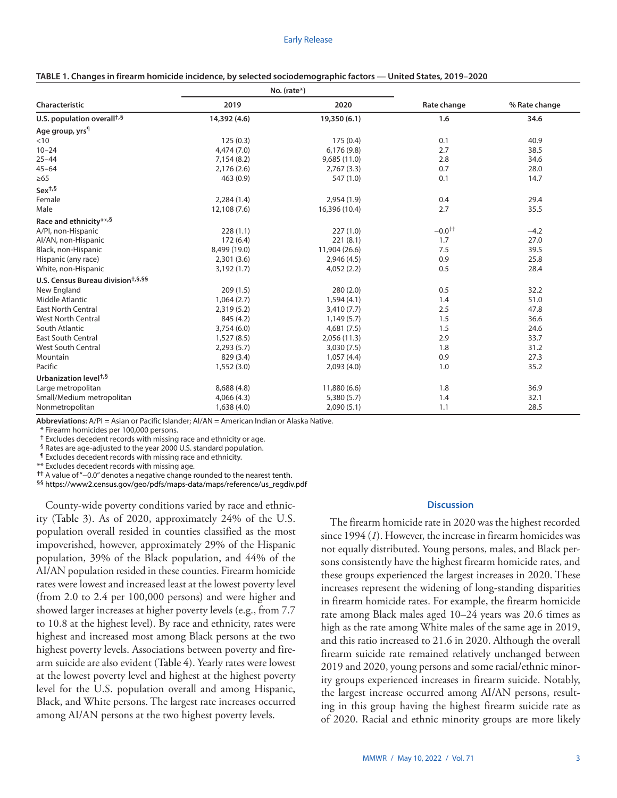|                                               |              | No. (rate*)   |             |               |  |
|-----------------------------------------------|--------------|---------------|-------------|---------------|--|
| Characteristic                                | 2019         | 2020          | Rate change | % Rate change |  |
| U.S. population overall <sup>+,§</sup>        | 14,392 (4.6) | 19,350 (6.1)  | 1.6         | 34.6          |  |
| Age group, yrs <sup>¶</sup>                   |              |               |             |               |  |
| $<$ 10                                        | 125(0.3)     | 175(0.4)      | 0.1         | 40.9          |  |
| $10 - 24$                                     | 4,474(7.0)   | 6,176(9.8)    | 2.7         | 38.5          |  |
| $25 - 44$                                     | 7,154 (8.2)  | 9,685(11.0)   | 2.8         | 34.6          |  |
| $45 - 64$                                     | 2,176(2.6)   | 2,767(3.3)    | 0.7         | 28.0          |  |
| $\geq 65$                                     | 463(0.9)     | 547 (1.0)     | 0.1         | 14.7          |  |
| Sex <sup>t,§</sup>                            |              |               |             |               |  |
| Female                                        | 2,284(1.4)   | 2,954(1.9)    | 0.4         | 29.4          |  |
| Male                                          | 12,108 (7.6) | 16,396 (10.4) | 2.7         | 35.5          |  |
| Race and ethnicity**,§                        |              |               |             |               |  |
| A/PI, non-Hispanic                            | 228(1.1)     | 227(1.0)      | $-0.0^{++}$ | $-4.2$        |  |
| Al/AN, non-Hispanic                           | 172(6.4)     | 221(8.1)      | 1.7         | 27.0          |  |
| Black, non-Hispanic                           | 8,499 (19.0) | 11,904 (26.6) | 7.5         | 39.5          |  |
| Hispanic (any race)                           | 2,301(3.6)   | 2,946(4.5)    | 0.9         | 25.8          |  |
| White, non-Hispanic                           | 3,192(1.7)   | 4,052(2.2)    | 0.5         | 28.4          |  |
| U.S. Census Bureau division <sup>†,§,§§</sup> |              |               |             |               |  |
| New England                                   | 209(1.5)     | 280(2.0)      | 0.5         | 32.2          |  |
| Middle Atlantic                               | 1,064(2.7)   | 1,594(4.1)    | 1.4         | 51.0          |  |
| <b>East North Central</b>                     | 2,319(5.2)   | 3,410(7.7)    | 2.5         | 47.8          |  |
| <b>West North Central</b>                     | 845 (4.2)    | 1,149(5.7)    | 1.5         | 36.6          |  |
| South Atlantic                                | 3,754(6.0)   | 4,681(7.5)    | 1.5         | 24.6          |  |
| <b>East South Central</b>                     | 1,527(8.5)   | 2,056(11.3)   | 2.9         | 33.7          |  |
| <b>West South Central</b>                     | 2,293(5.7)   | 3,030(7.5)    | 1.8         | 31.2          |  |
| Mountain                                      | 829 (3.4)    | 1,057(4.4)    | 0.9         | 27.3          |  |
| Pacific                                       | 1,552(3.0)   | 2,093(4.0)    | 1.0         | 35.2          |  |
| Urbanization level <sup>†,§</sup>             |              |               |             |               |  |
| Large metropolitan                            | 8,688 (4.8)  | 11,880 (6.6)  | 1.8         | 36.9          |  |
| Small/Medium metropolitan                     | 4,066(4.3)   | 5,380(5.7)    | 1.4         | 32.1          |  |
| Nonmetropolitan                               | 1,638(4.0)   | 2,090(5.1)    | 1.1         | 28.5          |  |

| TABLE 1. Changes in firearm homicide incidence, by selected sociodemographic factors - United States, 2019-2020 |  |  |
|-----------------------------------------------------------------------------------------------------------------|--|--|
|                                                                                                                 |  |  |

**Abbreviations:** A/PI = Asian or Pacific Islander; AI/AN = American Indian or Alaska Native.

\* Firearm homicides per 100,000 persons.

† Excludes decedent records with missing race and ethnicity or age.

§ Rates are age-adjusted to the year 2000 U.S. standard population.

¶ Excludes decedent records with missing race and ethnicity.

\*\* Excludes decedent records with missing age.

**††** A value of "−0.0" denotes a negative change rounded to the nearest tenth.

§§ [https://www2.census.gov/geo/pdfs/maps-data/maps/reference/us\\_regdiv.pdf](https://www2.census.gov/geo/pdfs/maps-data/maps/reference/us_regdiv.pdf)

County-wide poverty conditions varied by race and ethnicity (Table 3). As of 2020, approximately 24% of the U.S. population overall resided in counties classified as the most impoverished, however, approximately 29% of the Hispanic population, 39% of the Black population, and 44% of the AI/AN population resided in these counties. Firearm homicide rates were lowest and increased least at the lowest poverty level (from 2.0 to 2.4 per 100,000 persons) and were higher and showed larger increases at higher poverty levels (e.g., from 7.7 to 10.8 at the highest level). By race and ethnicity, rates were highest and increased most among Black persons at the two highest poverty levels. Associations between poverty and firearm suicide are also evident (Table 4). Yearly rates were lowest at the lowest poverty level and highest at the highest poverty level for the U.S. population overall and among Hispanic, Black, and White persons. The largest rate increases occurred among AI/AN persons at the two highest poverty levels.

#### **Discussion**

The firearm homicide rate in 2020 was the highest recorded since 1994 (*1*). However, the increase in firearm homicides was not equally distributed. Young persons, males, and Black persons consistently have the highest firearm homicide rates, and these groups experienced the largest increases in 2020. These increases represent the widening of long-standing disparities in firearm homicide rates. For example, the firearm homicide rate among Black males aged 10–24 years was 20.6 times as high as the rate among White males of the same age in 2019, and this ratio increased to 21.6 in 2020. Although the overall firearm suicide rate remained relatively unchanged between 2019 and 2020, young persons and some racial/ethnic minority groups experienced increases in firearm suicide. Notably, the largest increase occurred among AI/AN persons, resulting in this group having the highest firearm suicide rate as of 2020. Racial and ethnic minority groups are more likely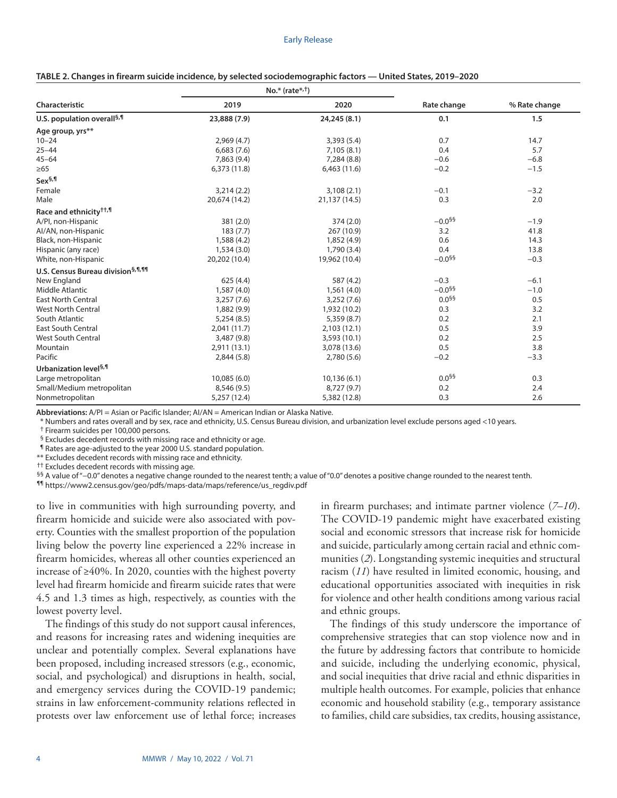|                                               |               | $No.*$ (rate $*$ , <sup>†</sup> ) |                      |               |  |
|-----------------------------------------------|---------------|-----------------------------------|----------------------|---------------|--|
| Characteristic                                | 2019          | 2020                              | Rate change          | % Rate change |  |
| U.S. population overall <sup>§,¶</sup>        | 23,888 (7.9)  | 24,245 (8.1)                      | 0.1                  | 1.5           |  |
| Age group, yrs**                              |               |                                   |                      |               |  |
| $10 - 24$                                     | 2,969(4.7)    | 3,393 (5.4)                       | 0.7                  | 14.7          |  |
| $25 - 44$                                     | 6,683(7.6)    | 7,105(8.1)                        | 0.4                  | 5.7           |  |
| $45 - 64$                                     | 7,863 (9.4)   | 7,284 (8.8)                       | $-0.6$               | $-6.8$        |  |
| $\geq 65$                                     | 6,373(11.8)   | 6,463(11.6)                       | $-0.2$               | $-1.5$        |  |
| Sex <sup>§,¶</sup>                            |               |                                   |                      |               |  |
| Female                                        | 3,214(2.2)    | 3,108(2.1)                        | $-0.1$               | $-3.2$        |  |
| Male                                          | 20,674 (14.2) | 21,137 (14.5)                     | 0.3                  | 2.0           |  |
| Race and ethnicity <sup>††,¶</sup>            |               |                                   |                      |               |  |
| A/PI, non-Hispanic                            | 381 (2.0)     | 374 (2.0)                         | $-0.0$ <sup>§§</sup> | $-1.9$        |  |
| Al/AN, non-Hispanic                           | 183(7.7)      | 267 (10.9)                        | 3.2                  | 41.8          |  |
| Black, non-Hispanic                           | 1,588 (4.2)   | 1,852 (4.9)                       | 0.6                  | 14.3          |  |
| Hispanic (any race)                           | 1,534(3.0)    | 1,790(3.4)                        | 0.4                  | 13.8          |  |
| White, non-Hispanic                           | 20,202 (10.4) | 19,962 (10.4)                     | $-0.0^{55}$          | $-0.3$        |  |
| U.S. Census Bureau division <sup>§,¶,¶¶</sup> |               |                                   |                      |               |  |
| New England                                   | 625(4.4)      | 587 (4.2)                         | $-0.3$               | $-6.1$        |  |
| Middle Atlantic                               | 1,587(4.0)    | 1,561(4.0)                        | $-0.0$ <sup>§§</sup> | $-1.0$        |  |
| <b>East North Central</b>                     | 3,257(7.6)    | 3,252(7.6)                        | $0.0^{55}$           | 0.5           |  |
| <b>West North Central</b>                     | 1,882 (9.9)   | 1,932 (10.2)                      | 0.3                  | 3.2           |  |
| South Atlantic                                | 5,254(8.5)    | 5,359 (8.7)                       | 0.2                  | 2.1           |  |
| <b>East South Central</b>                     | 2,041(11.7)   | 2,103(12.1)                       | 0.5                  | 3.9           |  |
| <b>West South Central</b>                     | 3,487 (9.8)   | 3,593 (10.1)                      | 0.2                  | 2.5           |  |
| Mountain                                      | 2,911(13.1)   | 3,078 (13.6)                      | 0.5                  | 3.8           |  |
| Pacific                                       | 2,844(5.8)    | 2,780 (5.6)                       | $-0.2$               | $-3.3$        |  |
| Urbanization level <sup>§,¶</sup>             |               |                                   |                      |               |  |
| Large metropolitan                            | 10,085(6.0)   | 10,136(6.1)                       | $0.0^{55}$           | 0.3           |  |
| Small/Medium metropolitan                     | 8,546 (9.5)   | 8,727 (9.7)                       | 0.2                  | 2.4           |  |
| Nonmetropolitan                               | 5,257 (12.4)  | 5,382 (12.8)                      | 0.3                  | 2.6           |  |

**TABLE 2. Changes in firearm suicide incidence, by selected sociodemographic factors — United States, 2019–2020**

**Abbreviations:** A/PI = Asian or Pacific Islander; AI/AN = American Indian or Alaska Native.

\* Numbers and rates overall and by sex, race and ethnicity, U.S. Census Bureau division, and urbanization level exclude persons aged <10 years.

† Firearm suicides per 100,000 persons.

§ Excludes decedent records with missing race and ethnicity or age.

¶ Rates are age-adjusted to the year 2000 U.S. standard population.

\*\* Excludes decedent records with missing race and ethnicity.

†† Excludes decedent records with missing age.

§§ A value of "−0.0" denotes a negative change rounded to the nearest tenth; a value of "0.0" denotes a positive change rounded to the nearest tenth.

¶¶ [https://www2.census.gov/geo/pdfs/maps-data/maps/reference/us\\_regdiv.pdf](https://www2.census.gov/geo/pdfs/maps-data/maps/reference/us_regdiv.pdf)

to live in communities with high surrounding poverty, and firearm homicide and suicide were also associated with poverty. Counties with the smallest proportion of the population living below the poverty line experienced a 22% increase in firearm homicides, whereas all other counties experienced an increase of ≥40%. In 2020, counties with the highest poverty level had firearm homicide and firearm suicide rates that were 4.5 and 1.3 times as high, respectively, as counties with the lowest poverty level.

The findings of this study do not support causal inferences, and reasons for increasing rates and widening inequities are unclear and potentially complex. Several explanations have been proposed, including increased stressors (e.g., economic, social, and psychological) and disruptions in health, social, and emergency services during the COVID-19 pandemic; strains in law enforcement-community relations reflected in protests over law enforcement use of lethal force; increases in firearm purchases; and intimate partner violence (*7*–*10*). The COVID-19 pandemic might have exacerbated existing social and economic stressors that increase risk for homicide and suicide, particularly among certain racial and ethnic communities (*2*). Longstanding systemic inequities and structural racism (*11*) have resulted in limited economic, housing, and educational opportunities associated with inequities in risk for violence and other health conditions among various racial and ethnic groups.

The findings of this study underscore the importance of comprehensive strategies that can stop violence now and in the future by addressing factors that contribute to homicide and suicide, including the underlying economic, physical, and social inequities that drive racial and ethnic disparities in multiple health outcomes. For example, policies that enhance economic and household stability (e.g., temporary assistance to families, child care subsidies, tax credits, housing assistance,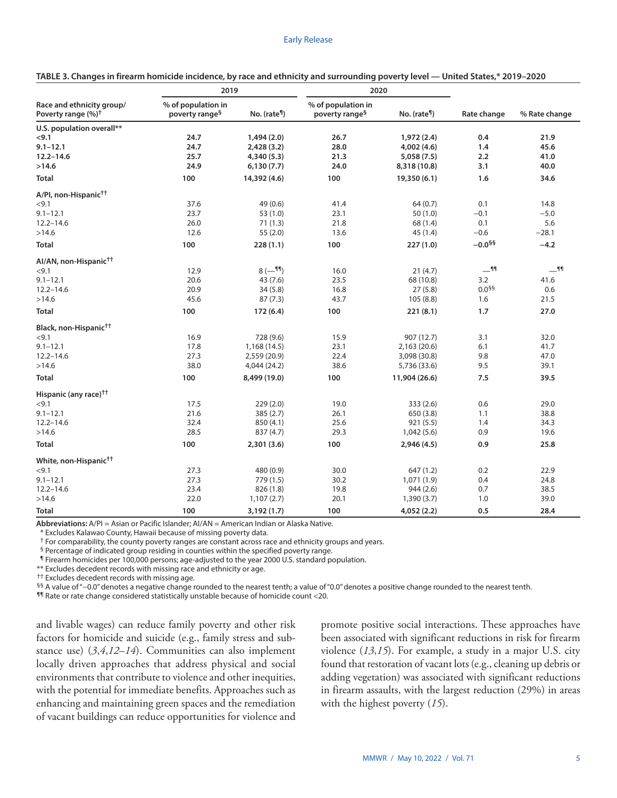|                                                             | 2019                                             |                           | 2020                                             |                           |                   |               |
|-------------------------------------------------------------|--------------------------------------------------|---------------------------|--------------------------------------------------|---------------------------|-------------------|---------------|
| Race and ethnicity group/<br>Poverty range (%) <sup>†</sup> | % of population in<br>poverty range <sup>§</sup> | No. (rate <sup>11</sup> ) | % of population in<br>poverty range <sup>§</sup> | No. (rate <sup>fl</sup> ) | Rate change       | % Rate change |
| U.S. population overall**                                   |                                                  |                           |                                                  |                           |                   |               |
| < 9.1                                                       | 24.7                                             | 1,494(2.0)                | 26.7                                             | 1,972 (2.4)               | 0.4               | 21.9          |
| $9.1 - 12.1$                                                | 24.7                                             | 2,428 (3.2)               | 28.0                                             | 4,002 (4.6)               | 1.4               | 45.6          |
| $12.2 - 14.6$                                               | 25.7                                             | 4,340 (5.3)               | 21.3                                             | 5,058 (7.5)               | 2.2               | 41.0          |
| >14.6                                                       | 24.9                                             | 6,130(7.7)                | 24.0                                             | 8,318 (10.8)              | 3.1               | 40.0          |
| <b>Total</b>                                                | 100                                              | 14,392 (4.6)              | 100                                              | 19,350 (6.1)              | 1.6               | 34.6          |
| A/PI, non-Hispanic <sup>††</sup>                            |                                                  |                           |                                                  |                           |                   |               |
| < 9.1                                                       | 37.6                                             | 49 (0.6)                  | 41.4                                             | 64(0.7)                   | 0.1               | 14.8          |
| $9.1 - 12.1$                                                | 23.7                                             | 53(1.0)                   | 23.1                                             | 50(1.0)                   | $-0.1$            | $-5.0$        |
| $12.2 - 14.6$                                               | 26.0                                             | 71(1.3)                   | 21.8                                             | 68 (1.4)                  | 0.1               | 5.6           |
| >14.6                                                       | 12.6                                             | 55(2.0)                   | 13.6                                             | 45 (1.4)                  | $-0.6$            | $-28.1$       |
| <b>Total</b>                                                | 100                                              | 228(1.1)                  | 100                                              | 227(1.0)                  | $-0.0$ §§         | $-4.2$        |
| Al/AN, non-Hispanic <sup>††</sup>                           |                                                  |                           |                                                  |                           |                   |               |
| < 9.1                                                       | 12.9                                             | $8(-11)$                  | 16.0                                             | 21(4.7)                   | $-$ <sup>11</sup> | $-$ 11        |
| $9.1 - 12.1$                                                | 20.6                                             | 43 (7.6)                  | 23.5                                             | 68 (10.8)                 | 3.2               | 41.6          |
| $12.2 - 14.6$                                               | 20.9                                             | 34(5.8)                   | 16.8                                             | 27(5.8)                   | $0.0^{55}$        | 0.6           |
| >14.6                                                       | 45.6                                             | 87(7.3)                   | 43.7                                             | 105(8.8)                  | 1.6               | 21.5          |
| <b>Total</b>                                                | 100                                              | 172(6.4)                  | 100                                              | 221(8.1)                  | 1.7               | 27.0          |
| Black, non-Hispanic <sup>††</sup>                           |                                                  |                           |                                                  |                           |                   |               |
| $<$ 9.1                                                     | 16.9                                             | 728 (9.6)                 | 15.9                                             | 907 (12.7)                | 3.1               | 32.0          |
| $9.1 - 12.1$                                                | 17.8                                             | 1,168 (14.5)              | 23.1                                             | 2,163 (20.6)              | 6.1               | 41.7          |
| $12.2 - 14.6$                                               | 27.3                                             | 2,559 (20.9)              | 22.4                                             | 3,098 (30.8)              | 9.8               | 47.0          |
| >14.6                                                       | 38.0                                             | 4,044 (24.2)              | 38.6                                             | 5,736 (33.6)              | 9.5               | 39.1          |
| <b>Total</b>                                                | 100                                              | 8,499 (19.0)              | 100                                              | 11,904 (26.6)             | 7.5               | 39.5          |
| Hispanic (any race) <sup>††</sup>                           |                                                  |                           |                                                  |                           |                   |               |
| <9.1                                                        | 17.5                                             | 229(2.0)                  | 19.0                                             | 333 (2.6)                 | 0.6               | 29.0          |
| $9.1 - 12.1$                                                | 21.6                                             | 385 (2.7)                 | 26.1                                             | 650(3.8)                  | 1.1               | 38.8          |
| $12.2 - 14.6$                                               | 32.4                                             | 850 (4.1)                 | 25.6                                             | 921 (5.5)                 | 1.4               | 34.3          |
| >14.6                                                       | 28.5                                             | 837 (4.7)                 | 29.3                                             | 1,042(5.6)                | 0.9               | 19.6          |
| <b>Total</b>                                                | 100                                              | 2,301(3.6)                | 100                                              | 2,946 (4.5)               | 0.9               | 25.8          |
| White, non-Hispanic <sup>††</sup>                           |                                                  |                           |                                                  |                           |                   |               |
| < 9.1                                                       | 27.3                                             | 480 (0.9)                 | 30.0                                             | 647(1.2)                  | 0.2               | 22.9          |
| $9.1 - 12.1$                                                | 27.3                                             | 779 (1.5)                 | 30.2                                             | 1,071 (1.9)               | 0.4               | 24.8          |
| $12.2 - 14.6$                                               | 23.4                                             | 826 (1.8)                 | 19.8                                             | 944(2.6)                  | 0.7               | 38.5          |
| >14.6                                                       | 22.0                                             | 1,107(2.7)                | 20.1                                             | 1,390(3.7)                | 1.0               | 39.0          |
| Total                                                       | 100                                              | 3,192(1.7)                | 100                                              | 4,052 (2.2)               | 0.5               | 28.4          |

**TABLE 3. Changes in firearm homicide incidence, by race and ethnicity and surrounding poverty level — United States,\* 2019–2020**

**Abbreviations:** A/PI = Asian or Pacific Islander; AI/AN = American Indian or Alaska Native.

\* Excludes Kalawao County, Hawaii because of missing poverty data.

† For comparability, the county poverty ranges are constant across race and ethnicity groups and years.

§ Percentage of indicated group residing in counties within the specified poverty range.

¶ Firearm homicides per 100,000 persons; age-adjusted to the year 2000 U.S. standard population.

\*\* Excludes decedent records with missing race and ethnicity or age.

 $^{\dagger\dagger}$  Excludes decedent records with missing age.

§§ A value of "−0.0" denotes a negative change rounded to the nearest tenth; a value of "0.0" denotes a positive change rounded to the nearest tenth.

¶¶ Rate or rate change considered statistically unstable because of homicide count <20.

and livable wages) can reduce family poverty and other risk factors for homicide and suicide (e.g., family stress and substance use) (*3*,*4*,*12*–*14*). Communities can also implement locally driven approaches that address physical and social environments that contribute to violence and other inequities, with the potential for immediate benefits. Approaches such as enhancing and maintaining green spaces and the remediation of vacant buildings can reduce opportunities for violence and promote positive social interactions. These approaches have been associated with significant reductions in risk for firearm violence (*13*,*15*). For example, a study in a major U.S. city found that restoration of vacant lots (e.g., cleaning up debris or adding vegetation) was associated with significant reductions in firearm assaults, with the largest reduction (29%) in areas with the highest poverty (*15*).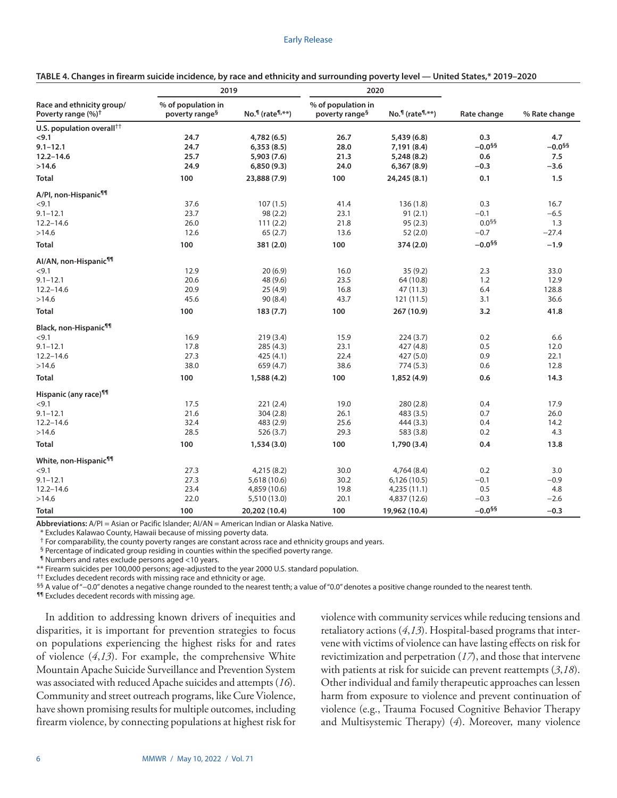|                                                             | 2019                                             |                                            | 2020                                             |                                            |                      |                      |
|-------------------------------------------------------------|--------------------------------------------------|--------------------------------------------|--------------------------------------------------|--------------------------------------------|----------------------|----------------------|
| Race and ethnicity group/<br>Poverty range (%) <sup>†</sup> | % of population in<br>poverty range <sup>§</sup> | $No.$ <sup>1</sup> (rate <sup>1,**</sup> ) | % of population in<br>poverty range <sup>§</sup> | $No.$ <sup>1</sup> (rate <sup>1,**</sup> ) | Rate change          | % Rate change        |
| U.S. population overall $^{++}$                             |                                                  |                                            |                                                  |                                            |                      |                      |
| <9.1                                                        | 24.7                                             | 4,782 (6.5)                                | 26.7                                             | 5,439 (6.8)                                | 0.3                  | 4.7                  |
| $9.1 - 12.1$                                                | 24.7                                             | 6,353(8.5)                                 | 28.0                                             | 7,191 (8.4)                                | $-0.0^{55}$          | $-0.0$ <sup>§§</sup> |
| $12.2 - 14.6$                                               | 25.7                                             | 5,903 (7.6)                                | 21.3                                             | 5,248 (8.2)                                | 0.6                  | 7.5                  |
| >14.6                                                       | 24.9                                             | 6,850(9.3)                                 | 24.0                                             | 6,367(8.9)                                 | $-0.3$               | $-3.6$               |
| <b>Total</b>                                                | 100                                              | 23,888 (7.9)                               | 100                                              | 24,245 (8.1)                               | 0.1                  | 1.5                  |
| A/PI, non-Hispanic <sup>¶¶</sup>                            |                                                  |                                            |                                                  |                                            |                      |                      |
| < 9.1                                                       | 37.6                                             | 107(1.5)                                   | 41.4                                             | 136(1.8)                                   | 0.3                  | 16.7                 |
| $9.1 - 12.1$                                                | 23.7                                             | 98(2.2)                                    | 23.1                                             | 91(2.1)                                    | $-0.1$               | $-6.5$               |
| $12.2 - 14.6$                                               | 26.0                                             | 111(2.2)                                   | 21.8                                             | 95(2.3)                                    | $0.0^{55}$           | 1.3                  |
| >14.6                                                       | 12.6                                             | 65(2.7)                                    | 13.6                                             | 52(2.0)                                    | $-0.7$               | $-27.4$              |
| <b>Total</b>                                                | 100                                              | 381 (2.0)                                  | 100                                              | 374 (2.0)                                  | $-0.0$ §§            | $-1.9$               |
| Al/AN, non-Hispanic <sup>¶¶</sup>                           |                                                  |                                            |                                                  |                                            |                      |                      |
| < 9.1                                                       | 12.9                                             | 20(6.9)                                    | 16.0                                             | 35(9.2)                                    | 2.3                  | 33.0                 |
| $9.1 - 12.1$                                                | 20.6                                             | 48 (9.6)                                   | 23.5                                             | 64 (10.8)                                  | 1.2                  | 12.9                 |
| $12.2 - 14.6$                                               | 20.9                                             | 25(4.9)                                    | 16.8                                             | 47 (11.3)                                  | 6.4                  | 128.8                |
| >14.6                                                       | 45.6                                             | 90 (8.4)                                   | 43.7                                             | 121 (11.5)                                 | 3.1                  | 36.6                 |
| Total                                                       | 100                                              | 183(7.7)                                   | 100                                              | 267 (10.9)                                 | 3.2                  | 41.8                 |
| Black, non-Hispanic <sup>¶¶</sup>                           |                                                  |                                            |                                                  |                                            |                      |                      |
| $<$ 9.1                                                     | 16.9                                             | 219(3.4)                                   | 15.9                                             | 224(3.7)                                   | 0.2                  | 6.6                  |
| $9.1 - 12.1$                                                | 17.8                                             | 285(4.3)                                   | 23.1                                             | 427 (4.8)                                  | 0.5                  | 12.0                 |
| $12.2 - 14.6$                                               | 27.3                                             | 425 (4.1)                                  | 22.4                                             | 427 (5.0)                                  | 0.9                  | 22.1                 |
| >14.6                                                       | 38.0                                             | 659 (4.7)                                  | 38.6                                             | 774 (5.3)                                  | 0.6                  | 12.8                 |
| <b>Total</b>                                                | 100                                              | 1,588 (4.2)                                | 100                                              | 1,852 (4.9)                                | 0.6                  | 14.3                 |
| Hispanic (any race) <sup>¶¶</sup>                           |                                                  |                                            |                                                  |                                            |                      |                      |
| <9.1                                                        | 17.5                                             | 221(2.4)                                   | 19.0                                             | 280(2.8)                                   | 0.4                  | 17.9                 |
| $9.1 - 12.1$                                                | 21.6                                             | 304(2.8)                                   | 26.1                                             | 483 (3.5)                                  | 0.7                  | 26.0                 |
| $12.2 - 14.6$                                               | 32.4                                             | 483 (2.9)                                  | 25.6                                             | 444 (3.3)                                  | 0.4                  | 14.2                 |
| >14.6                                                       | 28.5                                             | 526 (3.7)                                  | 29.3                                             | 583 (3.8)                                  | 0.2                  | 4.3                  |
| <b>Total</b>                                                | 100                                              | 1,534(3.0)                                 | 100                                              | 1,790 (3.4)                                | 0.4                  | 13.8                 |
| White, non-Hispanic <sup>¶¶</sup>                           |                                                  |                                            |                                                  |                                            |                      |                      |
| < 9.1                                                       | 27.3                                             | 4,215 (8.2)                                | 30.0                                             | 4,764 (8.4)                                | 0.2                  | 3.0                  |
| $9.1 - 12.1$                                                | 27.3                                             | 5,618 (10.6)                               | 30.2                                             | 6,126(10.5)                                | $-0.1$               | $-0.9$               |
| $12.2 - 14.6$                                               | 23.4                                             | 4,859 (10.6)                               | 19.8                                             | 4,235 (11.1)                               | 0.5                  | 4.8                  |
| >14.6                                                       | 22.0                                             | 5,510 (13.0)                               | 20.1                                             | 4,837 (12.6)                               | $-0.3$               | $-2.6$               |
| Total                                                       | 100                                              | 20,202 (10.4)                              | 100                                              | 19,962 (10.4)                              | $-0.0$ <sup>§§</sup> | $-0.3$               |

**TABLE 4. Changes in firearm suicide incidence, by race and ethnicity and surrounding poverty level — United States,\* 2019–2020**

**Abbreviations:** A/PI = Asian or Pacific Islander; AI/AN = American Indian or Alaska Native.

\* Excludes Kalawao County, Hawaii because of missing poverty data.

† For comparability, the county poverty ranges are constant across race and ethnicity groups and years.

§ Percentage of indicated group residing in counties within the specified poverty range.

¶ Numbers and rates exclude persons aged <10 years.

\*\* Firearm suicides per 100,000 persons; age-adjusted to the year 2000 U.S. standard population.

 $^{+\dagger}$  Excludes decedent records with missing race and ethnicity or age.

§§ A value of "−0.0" denotes a negative change rounded to the nearest tenth; a value of "0.0" denotes a positive change rounded to the nearest tenth.

¶¶ Excludes decedent records with missing age.

In addition to addressing known drivers of inequities and disparities, it is important for prevention strategies to focus on populations experiencing the highest risks for and rates of violence (*4*,*13*). For example, the comprehensive White Mountain Apache Suicide Surveillance and Prevention System was associated with reduced Apache suicides and attempts (*16*). Community and street outreach programs, like Cure Violence, have shown promising results for multiple outcomes, including firearm violence, by connecting populations at highest risk for violence with community services while reducing tensions and retaliatory actions (*4*,*13*). Hospital-based programs that intervene with victims of violence can have lasting effects on risk for revictimization and perpetration (*17*), and those that intervene with patients at risk for suicide can prevent reattempts (*3*,*18*). Other individual and family therapeutic approaches can lessen harm from exposure to violence and prevent continuation of violence (e.g., Trauma Focused Cognitive Behavior Therapy and Multisystemic Therapy) (*4*). Moreover, many violence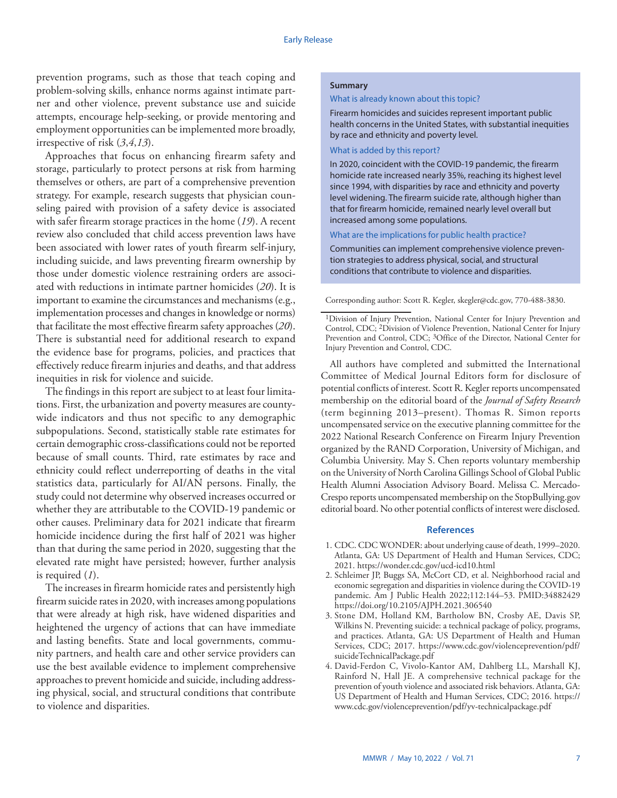prevention programs, such as those that teach coping and problem-solving skills, enhance norms against intimate partner and other violence, prevent substance use and suicide attempts, encourage help-seeking, or provide mentoring and employment opportunities can be implemented more broadly, irrespective of risk (*3*,*4*,*13*).

Approaches that focus on enhancing firearm safety and storage, particularly to protect persons at risk from harming themselves or others, are part of a comprehensive prevention strategy. For example, research suggests that physician counseling paired with provision of a safety device is associated with safer firearm storage practices in the home (*19*). A recent review also concluded that child access prevention laws have been associated with lower rates of youth firearm self-injury, including suicide, and laws preventing firearm ownership by those under domestic violence restraining orders are associated with reductions in intimate partner homicides (*20*). It is important to examine the circumstances and mechanisms (e.g., implementation processes and changes in knowledge or norms) that facilitate the most effective firearm safety approaches (*20*). There is substantial need for additional research to expand the evidence base for programs, policies, and practices that effectively reduce firearm injuries and deaths, and that address inequities in risk for violence and suicide.

The findings in this report are subject to at least four limitations. First, the urbanization and poverty measures are countywide indicators and thus not specific to any demographic subpopulations. Second, statistically stable rate estimates for certain demographic cross-classifications could not be reported because of small counts. Third, rate estimates by race and ethnicity could reflect underreporting of deaths in the vital statistics data, particularly for AI/AN persons. Finally, the study could not determine why observed increases occurred or whether they are attributable to the COVID-19 pandemic or other causes. Preliminary data for 2021 indicate that firearm homicide incidence during the first half of 2021 was higher than that during the same period in 2020, suggesting that the elevated rate might have persisted; however, further analysis is required (*1*).

The increases in firearm homicide rates and persistently high firearm suicide rates in 2020, with increases among populations that were already at high risk, have widened disparities and heightened the urgency of actions that can have immediate and lasting benefits. State and local governments, community partners, and health care and other service providers can use the best available evidence to implement comprehensive approaches to prevent homicide and suicide, including addressing physical, social, and structural conditions that contribute to violence and disparities.

#### **Summary**

#### What is already known about this topic?

Firearm homicides and suicides represent important public health concerns in the United States, with substantial inequities by race and ethnicity and poverty level.

#### What is added by this report?

In 2020, coincident with the COVID-19 pandemic, the firearm homicide rate increased nearly 35%, reaching its highest level since 1994, with disparities by race and ethnicity and poverty level widening. The firearm suicide rate, although higher than that for firearm homicide, remained nearly level overall but increased among some populations.

What are the implications for public health practice?

Communities can implement comprehensive violence prevention strategies to address physical, social, and structural conditions that contribute to violence and disparities.

Corresponding author: Scott R. Kegler, [skegler@cdc.gov](mailto:skegler@cdc.gov), 770-488-3830.

<sup>1</sup>Division of Injury Prevention, National Center for Injury Prevention and Control, CDC; 2Division of Violence Prevention, National Center for Injury Prevention and Control, CDC; <sup>3</sup>Office of the Director, National Center for Injury Prevention and Control, CDC.

All authors have completed and submitted the International Committee of Medical Journal Editors form for disclosure of potential conflicts of interest. Scott R. Kegler reports uncompensated membership on the editorial board of the *Journal of Safety Research* (term beginning 2013–present). Thomas R. Simon reports uncompensated service on the executive planning committee for the 2022 National Research Conference on Firearm Injury Prevention organized by the RAND Corporation, University of Michigan, and Columbia University. May S. Chen reports voluntary membership on the University of North Carolina Gillings School of Global Public Health Alumni Association Advisory Board. Melissa C. Mercado-Crespo reports uncompensated membership on the StopBullying.gov editorial board. No other potential conflicts of interest were disclosed.

#### **References**

- 1. CDC. CDC WONDER: about underlying cause of death, 1999–2020. Atlanta, GA: US Department of Health and Human Services, CDC; 2021. <https://wonder.cdc.gov/ucd-icd10.html>
- 2. Schleimer JP, Buggs SA, McCort CD, et al. Neighborhood racial and economic segregation and disparities in violence during the COVID-19 pandemic. Am J Public Health 2022;112:144–53[. PMID:34882429](https://www.ncbi.nlm.nih.gov/entrez/query.fcgi?cmd=Retrieve&db=PubMed&list_uids=34882429&dopt=Abstract) <https://doi.org/10.2105/AJPH.2021.306540>
- 3. Stone DM, Holland KM, Bartholow BN, Crosby AE, Davis SP, Wilkins N. Preventing suicide: a technical package of policy, programs, and practices. Atlanta, GA: US Department of Health and Human Services, CDC; 2017. [https://www.cdc.gov/violenceprevention/pdf/](https://www.cdc.gov/violenceprevention/pdf/suicideTechnicalPackage.pdf) [suicideTechnicalPackage.pdf](https://www.cdc.gov/violenceprevention/pdf/suicideTechnicalPackage.pdf)
- 4. David-Ferdon C, Vivolo-Kantor AM, Dahlberg LL, Marshall KJ, Rainford N, Hall JE. A comprehensive technical package for the prevention of youth violence and associated risk behaviors. Atlanta, GA: US Department of Health and Human Services, CDC; 2016. [https://](https://www.cdc.gov/violenceprevention/pdf/yv-technicalpackage.pdf) [www.cdc.gov/violenceprevention/pdf/yv-technicalpackage.pdf](https://www.cdc.gov/violenceprevention/pdf/yv-technicalpackage.pdf)